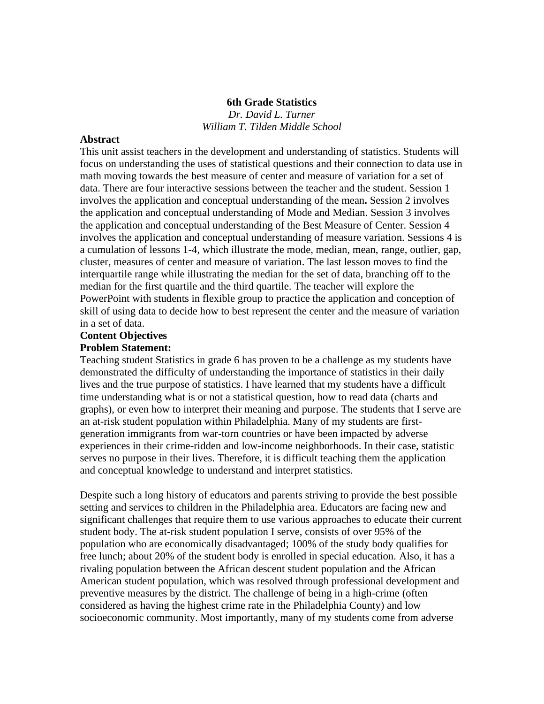#### **6th Grade Statistics**

*Dr. David L. Turner William T. Tilden Middle School*

#### **Abstract**

This unit assist teachers in the development and understanding of statistics. Students will focus on understanding the uses of statistical questions and their connection to data use in math moving towards the best measure of center and measure of variation for a set of data. There are four interactive sessions between the teacher and the student. Session 1 involves the application and conceptual understanding of the mean**.** Session 2 involves the application and conceptual understanding of Mode and Median. Session 3 involves the application and conceptual understanding of the Best Measure of Center. Session 4 involves the application and conceptual understanding of measure variation. Sessions 4 is a cumulation of lessons 1-4, which illustrate the mode, median, mean, range, outlier, gap, cluster, measures of center and measure of variation. The last lesson moves to find the interquartile range while illustrating the median for the set of data, branching off to the median for the first quartile and the third quartile. The teacher will explore the PowerPoint with students in flexible group to practice the application and conception of skill of using data to decide how to best represent the center and the measure of variation in a set of data.

# **Content Objectives**

## **Problem Statement:**

Teaching student Statistics in grade 6 has proven to be a challenge as my students have demonstrated the difficulty of understanding the importance of statistics in their daily lives and the true purpose of statistics. I have learned that my students have a difficult time understanding what is or not a statistical question, how to read data (charts and graphs), or even how to interpret their meaning and purpose. The students that I serve are an at-risk student population within Philadelphia. Many of my students are firstgeneration immigrants from war-torn countries or have been impacted by adverse experiences in their crime-ridden and low-income neighborhoods. In their case, statistic serves no purpose in their lives. Therefore, it is difficult teaching them the application and conceptual knowledge to understand and interpret statistics.

Despite such a long history of educators and parents striving to provide the best possible setting and services to children in the Philadelphia area. Educators are facing new and significant challenges that require them to use various approaches to educate their current student body. The at-risk student population I serve, consists of over 95% of the population who are economically disadvantaged; 100% of the study body qualifies for free lunch; about 20% of the student body is enrolled in special education. Also, it has a rivaling population between the African descent student population and the African American student population, which was resolved through professional development and preventive measures by the district. The challenge of being in a high-crime (often considered as having the highest crime rate in the Philadelphia County) and low socioeconomic community. Most importantly, many of my students come from adverse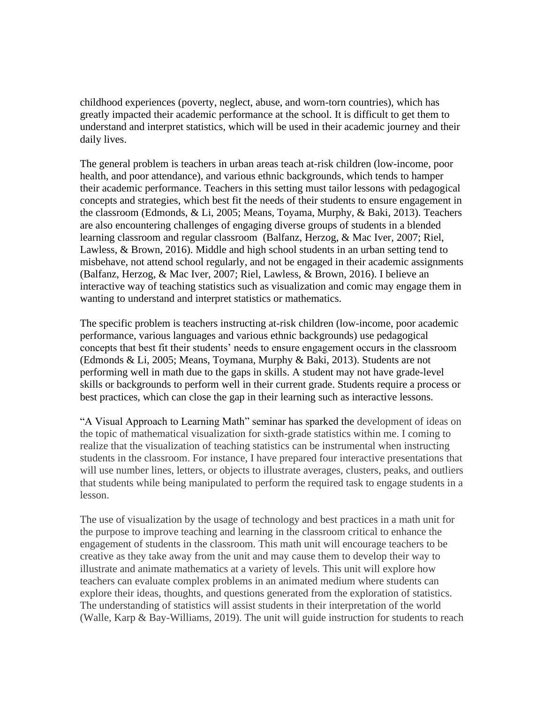childhood experiences (poverty, neglect, abuse, and worn-torn countries), which has greatly impacted their academic performance at the school. It is difficult to get them to understand and interpret statistics, which will be used in their academic journey and their daily lives.

The general problem is teachers in urban areas teach at-risk children (low-income, poor health, and poor attendance), and various ethnic backgrounds, which tends to hamper their academic performance. Teachers in this setting must tailor lessons with pedagogical concepts and strategies, which best fit the needs of their students to ensure engagement in the classroom (Edmonds, & Li, 2005; Means, Toyama, Murphy, & Baki, 2013). Teachers are also encountering challenges of engaging diverse groups of students in a blended learning classroom and regular classroom (Balfanz, Herzog, & Mac Iver, 2007; Riel, Lawless, & Brown, 2016). Middle and high school students in an urban setting tend to misbehave, not attend school regularly, and not be engaged in their academic assignments (Balfanz, Herzog, & Mac Iver, 2007; Riel, Lawless, & Brown, 2016). I believe an interactive way of teaching statistics such as visualization and comic may engage them in wanting to understand and interpret statistics or mathematics.

The specific problem is teachers instructing at-risk children (low-income, poor academic performance, various languages and various ethnic backgrounds) use pedagogical concepts that best fit their students' needs to ensure engagement occurs in the classroom (Edmonds & Li, 2005; Means, Toymana, Murphy & Baki, 2013). Students are not performing well in math due to the gaps in skills. A student may not have grade-level skills or backgrounds to perform well in their current grade. Students require a process or best practices, which can close the gap in their learning such as interactive lessons.

"A Visual Approach to Learning Math" seminar has sparked the development of ideas on the topic of mathematical visualization for sixth-grade statistics within me. I coming to realize that the visualization of teaching statistics can be instrumental when instructing students in the classroom. For instance, I have prepared four interactive presentations that will use number lines, letters, or objects to illustrate averages, clusters, peaks, and outliers that students while being manipulated to perform the required task to engage students in a lesson.

The use of visualization by the usage of technology and best practices in a math unit for the purpose to improve teaching and learning in the classroom critical to enhance the engagement of students in the classroom. This math unit will encourage teachers to be creative as they take away from the unit and may cause them to develop their way to illustrate and animate mathematics at a variety of levels. This unit will explore how teachers can evaluate complex problems in an animated medium where students can explore their ideas, thoughts, and questions generated from the exploration of statistics. The understanding of statistics will assist students in their interpretation of the world (Walle, Karp & Bay-Williams, 2019). The unit will guide instruction for students to reach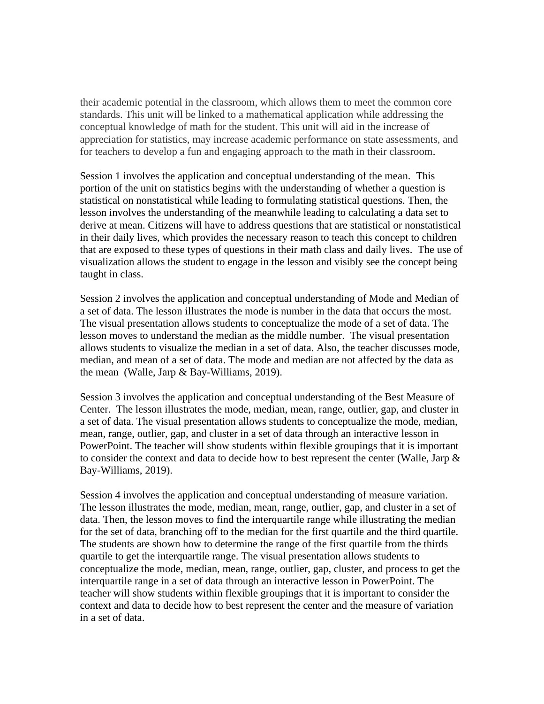their academic potential in the classroom, which allows them to meet the common core standards. This unit will be linked to a mathematical application while addressing the conceptual knowledge of math for the student. This unit will aid in the increase of appreciation for statistics, may increase academic performance on state assessments, and for teachers to develop a fun and engaging approach to the math in their classroom.

Session 1 involves the application and conceptual understanding of the mean. This portion of the unit on statistics begins with the understanding of whether a question is statistical on nonstatistical while leading to formulating statistical questions. Then, the lesson involves the understanding of the meanwhile leading to calculating a data set to derive at mean. Citizens will have to address questions that are statistical or nonstatistical in their daily lives, which provides the necessary reason to teach this concept to children that are exposed to these types of questions in their math class and daily lives. The use of visualization allows the student to engage in the lesson and visibly see the concept being taught in class.

Session 2 involves the application and conceptual understanding of Mode and Median of a set of data. The lesson illustrates the mode is number in the data that occurs the most. The visual presentation allows students to conceptualize the mode of a set of data. The lesson moves to understand the median as the middle number. The visual presentation allows students to visualize the median in a set of data. Also, the teacher discusses mode, median, and mean of a set of data. The mode and median are not affected by the data as the mean (Walle, Jarp & Bay-Williams, 2019).

Session 3 involves the application and conceptual understanding of the Best Measure of Center. The lesson illustrates the mode, median, mean, range, outlier, gap, and cluster in a set of data. The visual presentation allows students to conceptualize the mode, median, mean, range, outlier, gap, and cluster in a set of data through an interactive lesson in PowerPoint. The teacher will show students within flexible groupings that it is important to consider the context and data to decide how to best represent the center (Walle, Jarp & Bay-Williams, 2019).

Session 4 involves the application and conceptual understanding of measure variation. The lesson illustrates the mode, median, mean, range, outlier, gap, and cluster in a set of data. Then, the lesson moves to find the interquartile range while illustrating the median for the set of data, branching off to the median for the first quartile and the third quartile. The students are shown how to determine the range of the first quartile from the thirds quartile to get the interquartile range. The visual presentation allows students to conceptualize the mode, median, mean, range, outlier, gap, cluster, and process to get the interquartile range in a set of data through an interactive lesson in PowerPoint. The teacher will show students within flexible groupings that it is important to consider the context and data to decide how to best represent the center and the measure of variation in a set of data.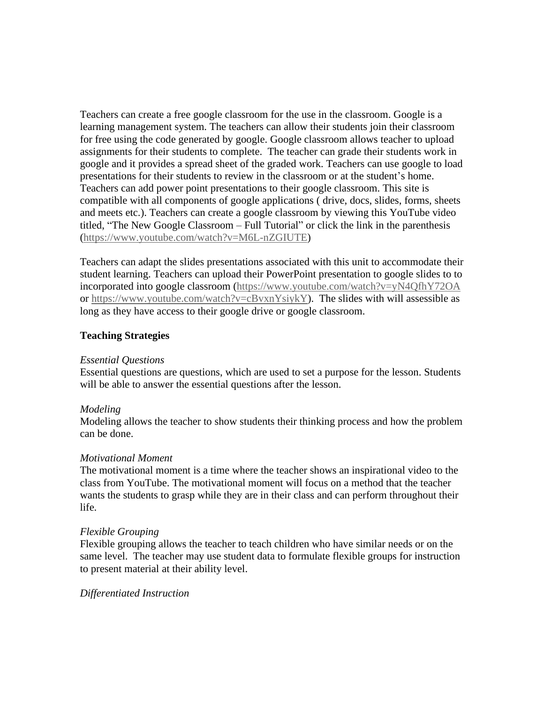Teachers can create a free google classroom for the use in the classroom. Google is a learning management system. The teachers can allow their students join their classroom for free using the code generated by google. Google classroom allows teacher to upload assignments for their students to complete. The teacher can grade their students work in google and it provides a spread sheet of the graded work. Teachers can use google to load presentations for their students to review in the classroom or at the student's home. Teachers can add power point presentations to their google classroom. This site is compatible with all components of google applications ( drive, docs, slides, forms, sheets and meets etc.). Teachers can create a google classroom by viewing this YouTube video titled, "The New Google Classroom – Full Tutorial" or click the link in the parenthesis [\(https://www.youtube.com/watch?v=M6L-nZGIUTE\)](https://www.youtube.com/watch?v=M6L-nZGIUTE)

Teachers can adapt the slides presentations associated with this unit to accommodate their student learning. Teachers can upload their PowerPoint presentation to google slides to to incorporated into google classroom [\(https://www.youtube.com/watch?v=yN4QfhY72OA](https://www.youtube.com/watch?v=yN4QfhY72OA) or [https://www.youtube.com/watch?v=cBvxnYsiykY\)](https://www.youtube.com/watch?v=cBvxnYsiykY). The slides with will assessible as long as they have access to their google drive or google classroom.

## **Teaching Strategies**

#### *Essential Questions*

Essential questions are questions, which are used to set a purpose for the lesson. Students will be able to answer the essential questions after the lesson.

## *Modeling*

Modeling allows the teacher to show students their thinking process and how the problem can be done.

#### *Motivational Moment*

The motivational moment is a time where the teacher shows an inspirational video to the class from YouTube. The motivational moment will focus on a method that the teacher wants the students to grasp while they are in their class and can perform throughout their life.

## *Flexible Grouping*

Flexible grouping allows the teacher to teach children who have similar needs or on the same level. The teacher may use student data to formulate flexible groups for instruction to present material at their ability level.

#### *Differentiated Instruction*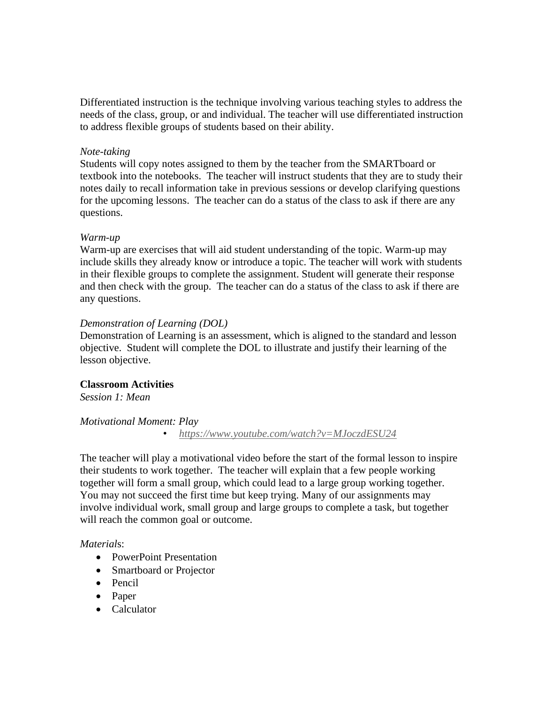Differentiated instruction is the technique involving various teaching styles to address the needs of the class, group, or and individual. The teacher will use differentiated instruction to address flexible groups of students based on their ability.

#### *Note-taking*

Students will copy notes assigned to them by the teacher from the SMARTboard or textbook into the notebooks. The teacher will instruct students that they are to study their notes daily to recall information take in previous sessions or develop clarifying questions for the upcoming lessons. The teacher can do a status of the class to ask if there are any questions.

#### *Warm-up*

Warm-up are exercises that will aid student understanding of the topic. Warm-up may include skills they already know or introduce a topic. The teacher will work with students in their flexible groups to complete the assignment. Student will generate their response and then check with the group. The teacher can do a status of the class to ask if there are any questions.

#### *Demonstration of Learning (DOL)*

Demonstration of Learning is an assessment, which is aligned to the standard and lesson objective. Student will complete the DOL to illustrate and justify their learning of the lesson objective.

#### **Classroom Activities**

*Session 1: Mean*

#### *Motivational Moment: Play*

• *<https://www.youtube.com/watch?v=MJoczdESU24>*

The teacher will play a motivational video before the start of the formal lesson to inspire their students to work together. The teacher will explain that a few people working together will form a small group, which could lead to a large group working together. You may not succeed the first time but keep trying. Many of our assignments may involve individual work, small group and large groups to complete a task, but together will reach the common goal or outcome.

#### *Material*s:

- PowerPoint Presentation
- Smartboard or Projector
- Pencil
- Paper
- Calculator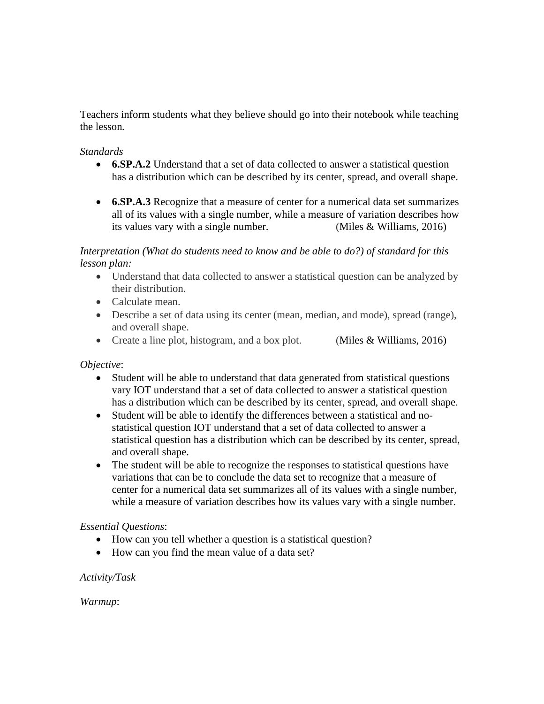Teachers inform students what they believe should go into their notebook while teaching the lesson*.*

## *Standards*

- **6.SP.A.2** Understand that a set of data collected to answer a statistical question has a distribution which can be described by its center, spread, and overall shape.
- **6.SP.A.3** Recognize that a measure of center for a numerical data set summarizes all of its values with a single number, while a measure of variation describes how its values vary with a single number. (Miles & Williams, 2016)

*Interpretation (What do students need to know and be able to do?) of standard for this lesson plan:*

- Understand that data collected to answer a statistical question can be analyzed by their distribution.
- Calculate mean.
- Describe a set of data using its center (mean, median, and mode), spread (range), and overall shape.
- Create a line plot, histogram, and a box plot. (Miles & Williams, 2016)

## *Objective*:

- Student will be able to understand that data generated from statistical questions vary IOT understand that a set of data collected to answer a statistical question has a distribution which can be described by its center, spread, and overall shape.
- Student will be able to identify the differences between a statistical and nostatistical question IOT understand that a set of data collected to answer a statistical question has a distribution which can be described by its center, spread, and overall shape.
- The student will be able to recognize the responses to statistical questions have variations that can be to conclude the data set to recognize that a measure of center for a numerical data set summarizes all of its values with a single number, while a measure of variation describes how its values vary with a single number.

## *Essential Questions*:

- How can you tell whether a question is a statistical question?
- How can you find the mean value of a data set?

## *Activity/Task*

*Warmup*: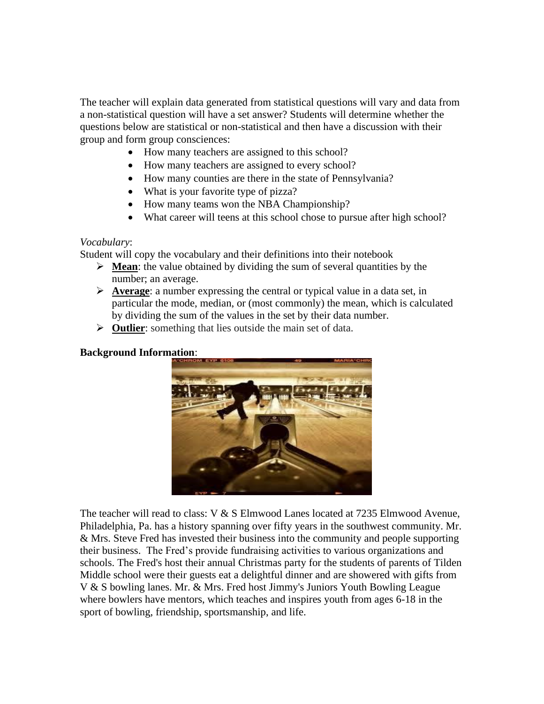The teacher will explain data generated from statistical questions will vary and data from a non-statistical question will have a set answer? Students will determine whether the questions below are statistical or non-statistical and then have a discussion with their group and form group consciences:

- How many teachers are assigned to this school?
- How many teachers are assigned to every school?
- How many counties are there in the state of Pennsylvania?
- What is your favorite type of pizza?
- How many teams won the NBA Championship?
- What career will teens at this school chose to pursue after high school?

#### *Vocabulary*:

Student will copy the vocabulary and their definitions into their notebook

- ➢ **Mean**: the value obtained by dividing the sum of several quantities by the number; an average.
- ➢ **Average**: a number expressing the central or typical value in a data set, in particular the mode, median, or (most commonly) the mean, which is calculated by dividing the sum of the values in the set by their data number.
- ➢ **Outlier**: something that lies outside the main set of data.

#### **Background Information**:



The teacher will read to class: V & S Elmwood Lanes located at 7235 Elmwood Avenue, Philadelphia, Pa. has a history spanning over fifty years in the southwest community. Mr. & Mrs. Steve Fred has invested their business into the community and people supporting their business. The Fred's provide fundraising activities to various organizations and schools. The Fred's host their annual Christmas party for the students of parents of Tilden Middle school were their guests eat a delightful dinner and are showered with gifts from V & S bowling lanes. Mr. & Mrs. Fred host Jimmy's Juniors Youth Bowling League where bowlers have mentors, which teaches and inspires youth from ages 6-18 in the sport of bowling, friendship, sportsmanship, and life.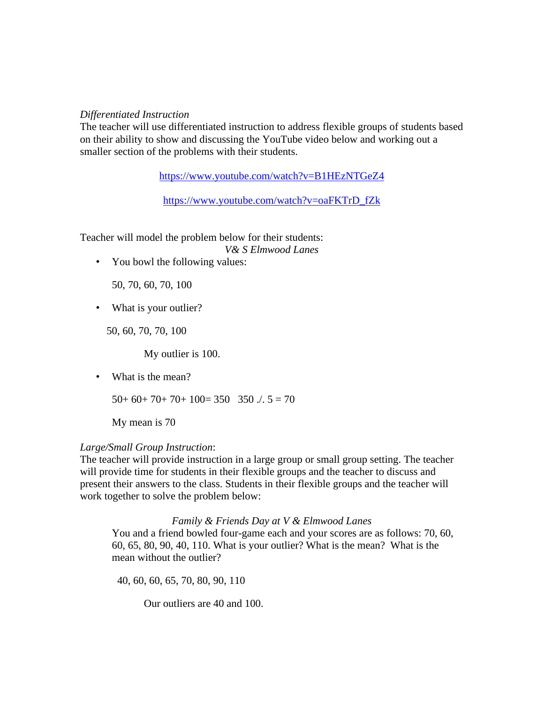#### *Differentiated Instruction*

The teacher will use differentiated instruction to address flexible groups of students based on their ability to show and discussing the YouTube video below and working out a smaller section of the problems with their students.

<https://www.youtube.com/watch?v=B1HEzNTGeZ4>

[https://www.youtube.com/watch?v=oaFKTrD\\_fZk](https://www.youtube.com/watch?v=oaFKTrD_fZk)

Teacher will model the problem below for their students:

*V& S Elmwood Lanes*

• You bowl the following values:

50, 70, 60, 70, 100

• What is your outlier?

50, 60, 70, 70, 100

My outlier is 100.

• What is the mean?

 $50+60+70+70+100=350$  350  $\therefore$  5 = 70

My mean is 70

#### *Large/Small Group Instruction*:

The teacher will provide instruction in a large group or small group setting. The teacher will provide time for students in their flexible groups and the teacher to discuss and present their answers to the class. Students in their flexible groups and the teacher will work together to solve the problem below:

#### *Family & Friends Day at V & Elmwood Lanes*

You and a friend bowled four-game each and your scores are as follows: 70, 60, 60, 65, 80, 90, 40, 110. What is your outlier? What is the mean? What is the mean without the outlier?

40, 60, 60, 65, 70, 80, 90, 110

Our outliers are 40 and 100.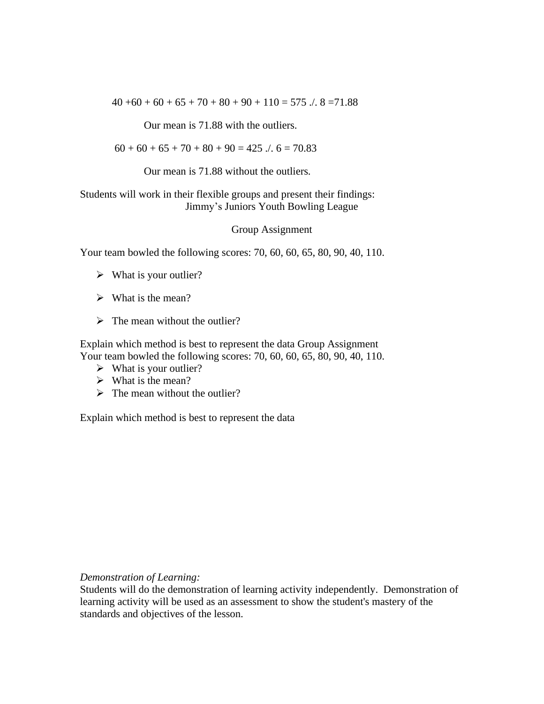$40 +60 + 60 + 65 + 70 + 80 + 90 + 110 = 575$  ...  $8 = 71.88$ 

Our mean is 71.88 with the outliers.

 $60 + 60 + 65 + 70 + 80 + 90 = 425$   $\therefore$  6 = 70.83

Our mean is 71.88 without the outliers*.*

#### Students will work in their flexible groups and present their findings: Jimmy's Juniors Youth Bowling League

Group Assignment

Your team bowled the following scores: 70, 60, 60, 65, 80, 90, 40, 110.

- $\triangleright$  What is your outlier?
- $\triangleright$  What is the mean?
- $\triangleright$  The mean without the outlier?

Explain which method is best to represent the data Group Assignment Your team bowled the following scores: 70, 60, 60, 65, 80, 90, 40, 110.

- $\triangleright$  What is your outlier?
- $\triangleright$  What is the mean?
- $\triangleright$  The mean without the outlier?

Explain which method is best to represent the data

*Demonstration of Learning:*

Students will do the demonstration of learning activity independently. Demonstration of learning activity will be used as an assessment to show the student's mastery of the standards and objectives of the lesson.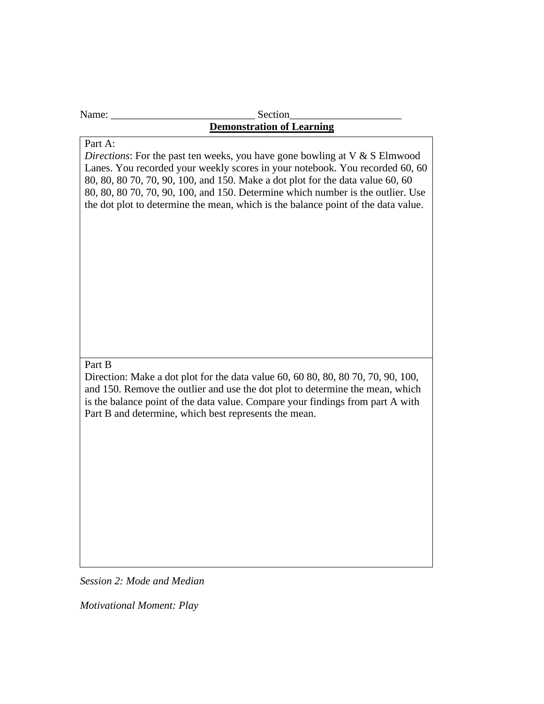#### Name: \_\_\_\_\_\_\_\_\_\_\_\_\_\_\_\_\_\_\_\_\_\_\_\_\_\_\_ Section\_\_\_\_\_\_\_\_\_\_\_\_\_\_\_\_\_\_\_\_\_ **Demonstration of Learning**

# Part A:

*Directions*: For the past ten weeks, you have gone bowling at V & S Elmwood Lanes. You recorded your weekly scores in your notebook. You recorded 60, 60 80, 80, 80 70, 70, 90, 100, and 150*.* Make a dot plot for the data value 60, 60 80, 80, 80 70, 70, 90, 100, and 150. Determine which number is the outlier. Use the dot plot to determine the mean, which is the balance point of the data value.

#### Part B

Direction: Make a dot plot for the data value 60, 60 80, 80, 80 70, 70, 90, 100, and 150. Remove the outlier and use the dot plot to determine the mean, which is the balance point of the data value. Compare your findings from part A with Part B and determine, which best represents the mean.

*Session 2: Mode and Median*

*Motivational Moment: Play*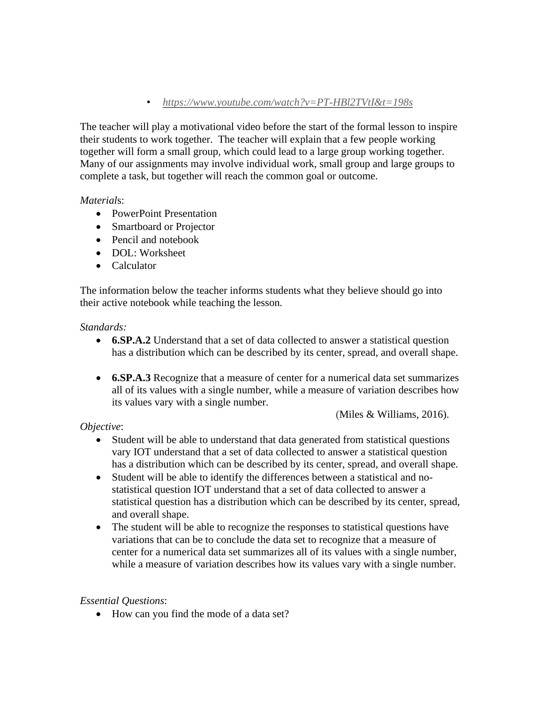## • *<https://www.youtube.com/watch?v=PT-HBl2TVtI&t=198s>*

The teacher will play a motivational video before the start of the formal lesson to inspire their students to work together. The teacher will explain that a few people working together will form a small group, which could lead to a large group working together. Many of our assignments may involve individual work, small group and large groups to complete a task, but together will reach the common goal or outcome.

## *Material*s:

- PowerPoint Presentation
- Smartboard or Projector
- Pencil and notebook
- DOL: Worksheet
- Calculator

The information below the teacher informs students what they believe should go into their active notebook while teaching the lesson*.*

## *Standards:*

- **6.SP.A.2** Understand that a set of data collected to answer a statistical question has a distribution which can be described by its center, spread, and overall shape.
- **6.SP.A.3** Recognize that a measure of center for a numerical data set summarizes all of its values with a single number, while a measure of variation describes how its values vary with a single number.

(Miles & Williams, 2016).

## *Objective*:

- Student will be able to understand that data generated from statistical questions vary IOT understand that a set of data collected to answer a statistical question has a distribution which can be described by its center, spread, and overall shape.
- Student will be able to identify the differences between a statistical and nostatistical question IOT understand that a set of data collected to answer a statistical question has a distribution which can be described by its center, spread, and overall shape.
- The student will be able to recognize the responses to statistical questions have variations that can be to conclude the data set to recognize that a measure of center for a numerical data set summarizes all of its values with a single number, while a measure of variation describes how its values vary with a single number.

## *Essential Questions*:

• How can you find the mode of a data set?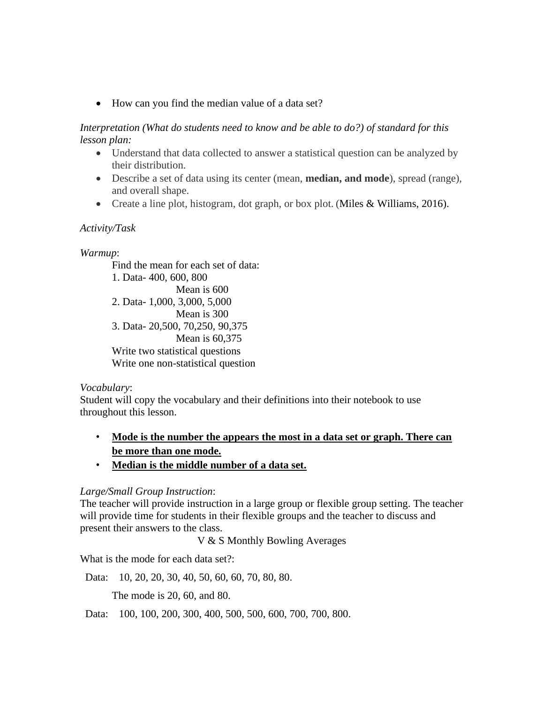• How can you find the median value of a data set?

*Interpretation (What do students need to know and be able to do?) of standard for this lesson plan:*

- Understand that data collected to answer a statistical question can be analyzed by their distribution.
- Describe a set of data using its center (mean, **median, and mode**), spread (range), and overall shape.
- Create a line plot, histogram, dot graph, or box plot. (Miles & Williams, 2016).

## *Activity/Task*

#### *Warmup*:

Find the mean for each set of data: 1. Data- 400, 600, 800 Mean is 600 2. Data- 1,000, 3,000, 5,000 Mean is 300 3. Data- 20,500, 70,250, 90,375 Mean is 60,375 Write two statistical questions Write one non-statistical question

#### *Vocabulary*:

Student will copy the vocabulary and their definitions into their notebook to use throughout this lesson.

- **Mode is the number the appears the most in a data set or graph. There can be more than one mode.**
- **Median is the middle number of a data set.**

## *Large/Small Group Instruction*:

The teacher will provide instruction in a large group or flexible group setting. The teacher will provide time for students in their flexible groups and the teacher to discuss and present their answers to the class.

V & S Monthly Bowling Averages

What is the mode for each data set?:

Data: 10, 20, 20, 30, 40, 50, 60, 60, 70, 80, 80.

The mode is 20, 60, and 80.

Data: 100, 100, 200, 300, 400, 500, 500, 600, 700, 700, 800.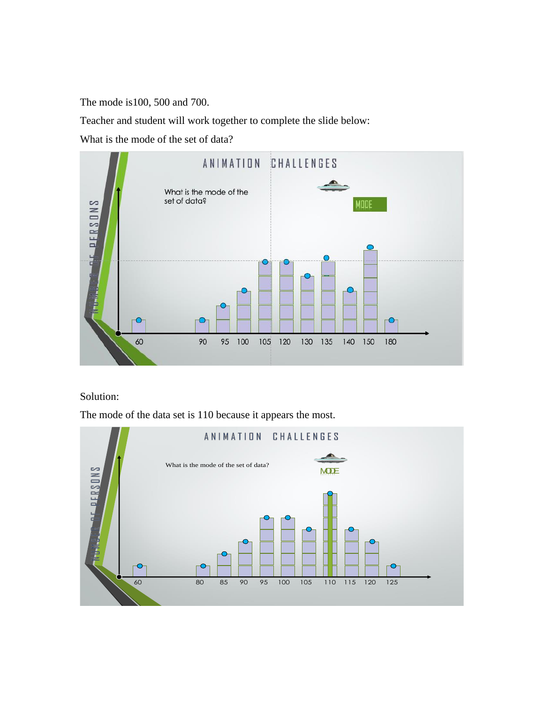The mode is100, 500 and 700.

Teacher and student will work together to complete the slide below:

What is the mode of the set of data?



#### Solution:

The mode of the data set is 110 because it appears the most.

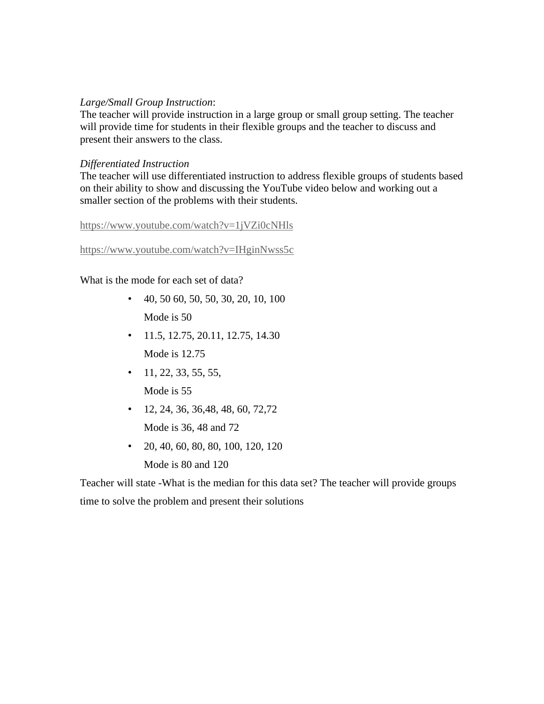## *Large/Small Group Instruction*:

The teacher will provide instruction in a large group or small group setting. The teacher will provide time for students in their flexible groups and the teacher to discuss and present their answers to the class.

## *Differentiated Instruction*

The teacher will use differentiated instruction to address flexible groups of students based on their ability to show and discussing the YouTube video below and working out a smaller section of the problems with their students.

<https://www.youtube.com/watch?v=1jVZi0cNHls>

<https://www.youtube.com/watch?v=IHginNwss5c>

What is the mode for each set of data?

- 40, 50 60, 50, 50, 30, 20, 10, 100 Mode is 50
- $\cdot$  11.5, 12.75, 20.11, 12.75, 14.30 Mode is  $12.75$
- $\cdot$  11, 22, 33, 55, 55, Mode is 55
- $\cdot$  12, 24, 36, 36, 48, 48, 60, 72, 72 Mode is 36, 48 and 72
- 20, 40, 60, 80, 80, 100, 120, 120 Mode is 80 and 120

Teacher will state -What is the median for this data set? The teacher will provide groups time to solve the problem and present their solutions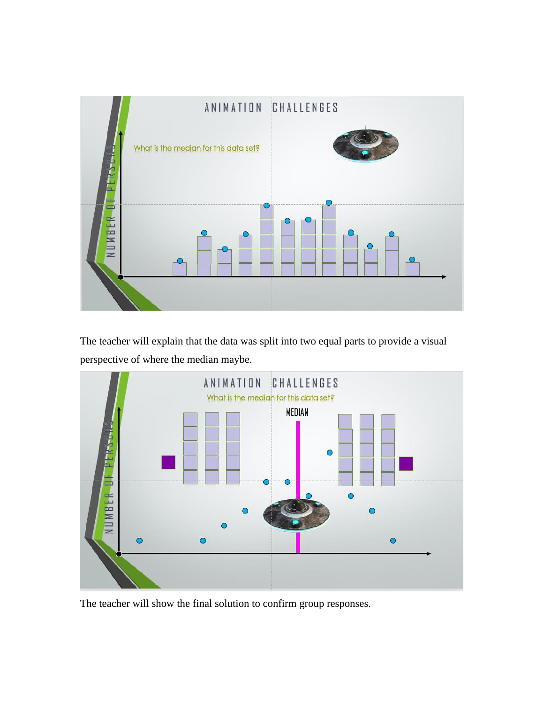

The teacher will explain that the data was split into two equal parts to provide a visual perspective of where the median maybe.



The teacher will show the final solution to confirm group responses.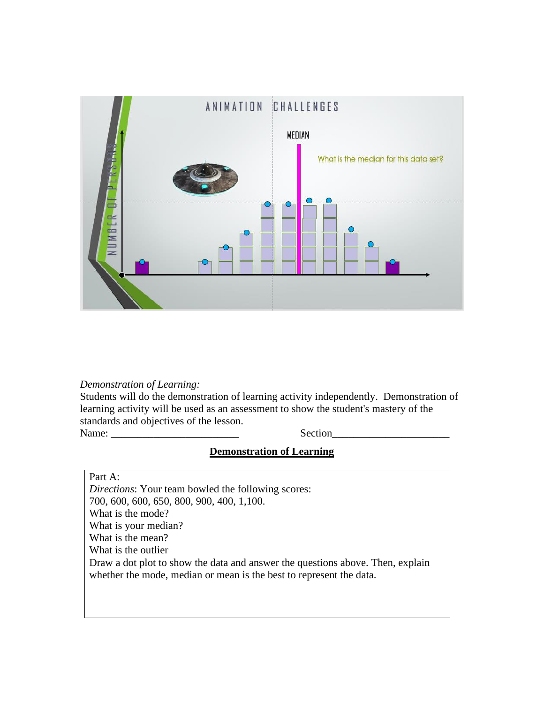

#### *Demonstration of Learning:*

Students will do the demonstration of learning activity independently. Demonstration of learning activity will be used as an assessment to show the student's mastery of the standards and objectives of the lesson. Name: Section

# **Demonstration of Learning**

Part A:

*Directions*: Your team bowled the following scores: 700, 600, 600, 650, 800, 900, 400, 1,100. What is the mode? What is your median? What is the mean? What is the outlier Draw a dot plot to show the data and answer the questions above. Then, explain whether the mode, median or mean is the best to represent the data.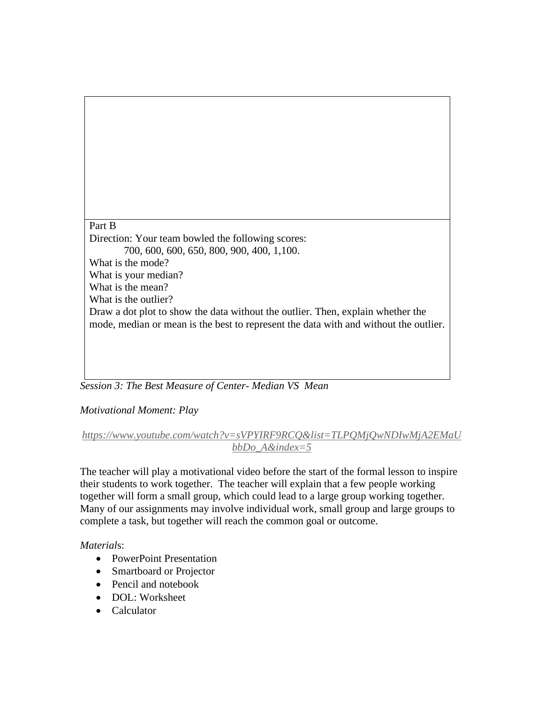Part B Direction: Your team bowled the following scores: 700, 600, 600, 650, 800, 900, 400, 1,100. What is the mode? What is your median? What is the mean? What is the outlier? Draw a dot plot to show the data without the outlier. Then, explain whether the mode, median or mean is the best to represent the data with and without the outlier.

*Session 3: The Best Measure of Center- Median VS Mean*

*Motivational Moment: Play* 

## *[https://www.youtube.com/watch?v=sVPYIRF9RCQ&list=TLPQMjQwNDIwMjA2EMaU](https://www.youtube.com/watch?v=sVPYIRF9RCQ&list=TLPQMjQwNDIwMjA2EMaUbbDo_A&index=5) [bbDo\\_A&index=5](https://www.youtube.com/watch?v=sVPYIRF9RCQ&list=TLPQMjQwNDIwMjA2EMaUbbDo_A&index=5)*

The teacher will play a motivational video before the start of the formal lesson to inspire their students to work together. The teacher will explain that a few people working together will form a small group, which could lead to a large group working together. Many of our assignments may involve individual work, small group and large groups to complete a task, but together will reach the common goal or outcome.

## *Material*s:

- PowerPoint Presentation
- Smartboard or Projector
- Pencil and notebook
- DOL: Worksheet
- Calculator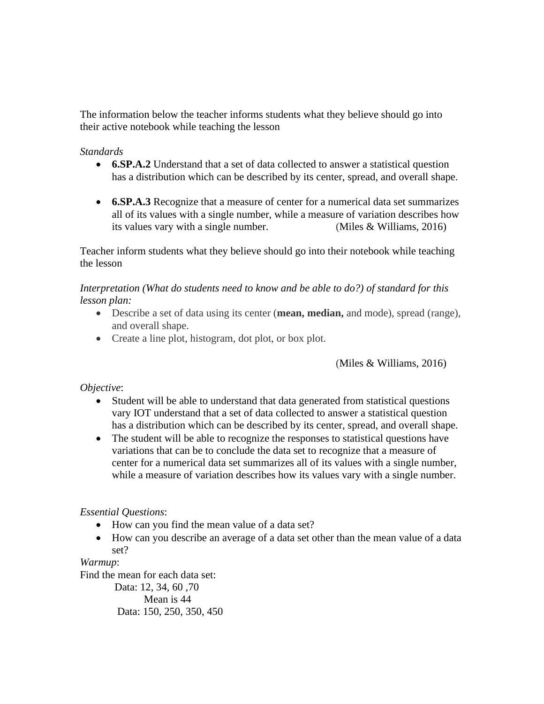The information below the teacher informs students what they believe should go into their active notebook while teaching the lesson

## *Standards*

- **6.SP.A.2** Understand that a set of data collected to answer a statistical question has a distribution which can be described by its center, spread, and overall shape.
- **6.SP.A.3** Recognize that a measure of center for a numerical data set summarizes all of its values with a single number, while a measure of variation describes how its values vary with a single number. (Miles & Williams, 2016)

Teacher inform students what they believe should go into their notebook while teaching the lesson

*Interpretation (What do students need to know and be able to do?) of standard for this lesson plan:*

- Describe a set of data using its center (**mean, median,** and mode), spread (range), and overall shape.
- Create a line plot, histogram, dot plot, or box plot.

(Miles & Williams, 2016)

*Objective*:

- Student will be able to understand that data generated from statistical questions vary IOT understand that a set of data collected to answer a statistical question has a distribution which can be described by its center, spread, and overall shape.
- The student will be able to recognize the responses to statistical questions have variations that can be to conclude the data set to recognize that a measure of center for a numerical data set summarizes all of its values with a single number, while a measure of variation describes how its values vary with a single number.

## *Essential Questions*:

- How can you find the mean value of a data set?
- How can you describe an average of a data set other than the mean value of a data set?

*Warmup*:

Find the mean for each data set: Data: 12, 34, 60 ,70

Mean is 44 Data: 150, 250, 350, 450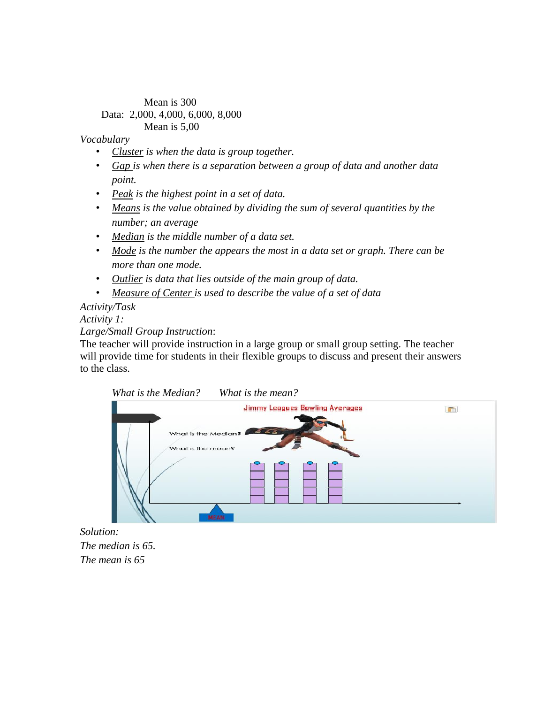#### Mean is 300 Data: 2,000, 4,000, 6,000, 8,000 Mean is 5,00

#### *Vocabulary*

- *Cluster is when the data is group together.*
- *Gap is when there is a separation between a group of data and another data point.*
- *Peak is the highest point in a set of data.*
- *Means is the value obtained by dividing the sum of several quantities by the number; an average*
- *Median is the middle number of a data set.*
- *Mode is the number the appears the most in a data set or graph. There can be more than one mode.*
- *Outlier is data that lies outside of the main group of data.*
- *Measure of Center is used to describe the value of a set of data*

## *Activity/Task Activity 1:*

#### *Large/Small Group Instruction*:

The teacher will provide instruction in a large group or small group setting. The teacher will provide time for students in their flexible groups to discuss and present their answers to the class.



*Solution: The median is 65. The mean is 65*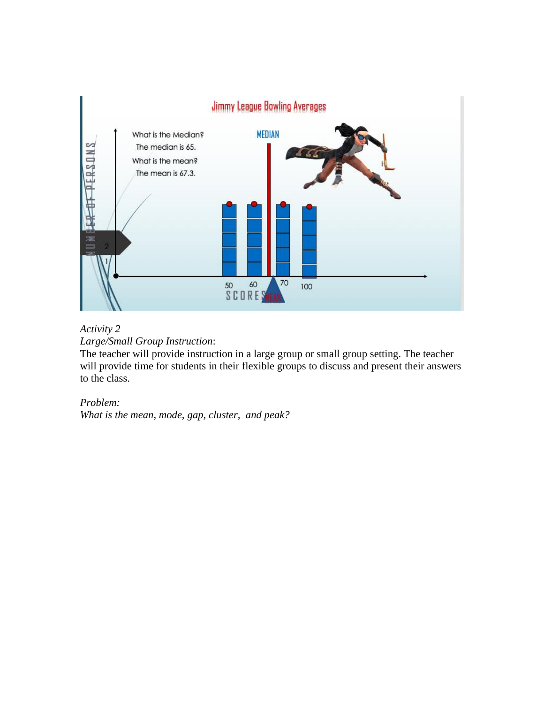

## *Activity 2 Large/Small Group Instruction*:

The teacher will provide instruction in a large group or small group setting. The teacher will provide time for students in their flexible groups to discuss and present their answers to the class.

# *Problem:*

*What is the mean, mode, gap, cluster, and peak?*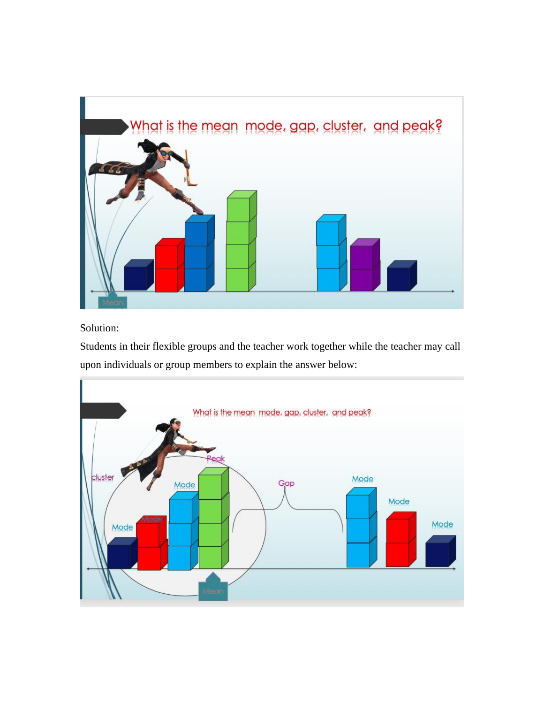

Solution:

Students in their flexible groups and the teacher work together while the teacher may call upon individuals or group members to explain the answer below:

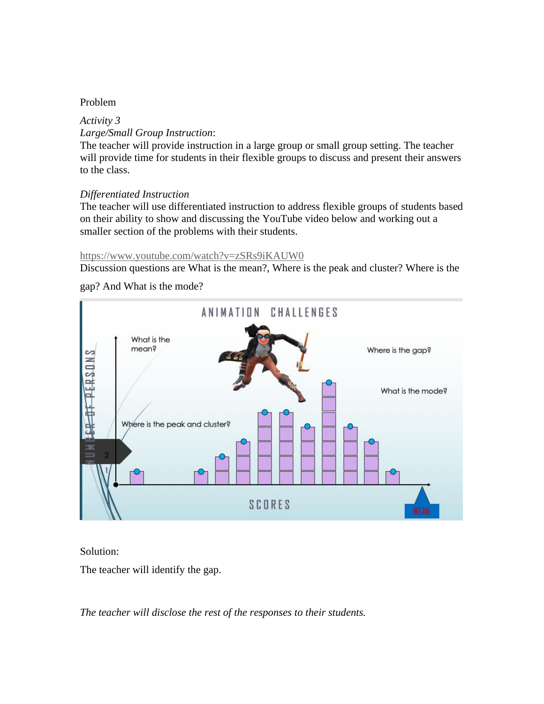#### Problem

# *Activity 3 Large/Small Group Instruction*:

The teacher will provide instruction in a large group or small group setting. The teacher will provide time for students in their flexible groups to discuss and present their answers to the class.

#### *Differentiated Instruction*

The teacher will use differentiated instruction to address flexible groups of students based on their ability to show and discussing the YouTube video below and working out a smaller section of the problems with their students.

#### <https://www.youtube.com/watch?v=zSRs9iKAUW0>

Discussion questions are What is the mean?, Where is the peak and cluster? Where is the

#### gap? And What is the mode?



#### Solution:

The teacher will identify the gap.

*The teacher will disclose the rest of the responses to their students.*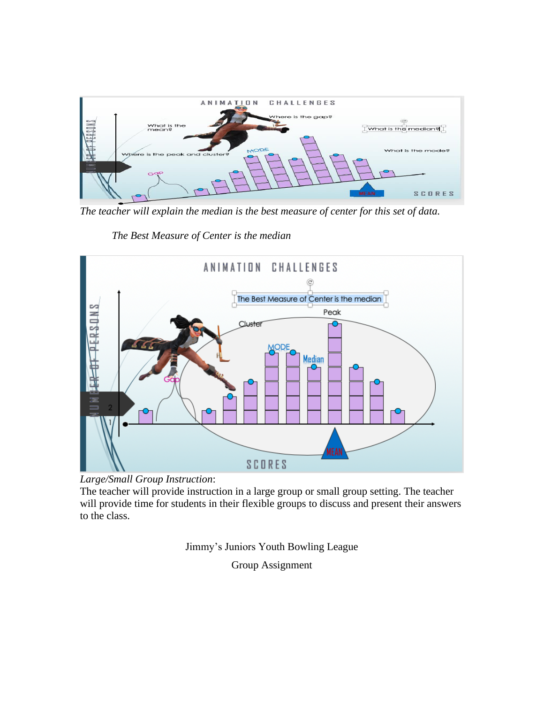

*The teacher will explain the median is the best measure of center for this set of data.*

*The Best Measure of Center is the median*



*Large/Small Group Instruction*:

The teacher will provide instruction in a large group or small group setting. The teacher will provide time for students in their flexible groups to discuss and present their answers to the class.

Jimmy's Juniors Youth Bowling League

Group Assignment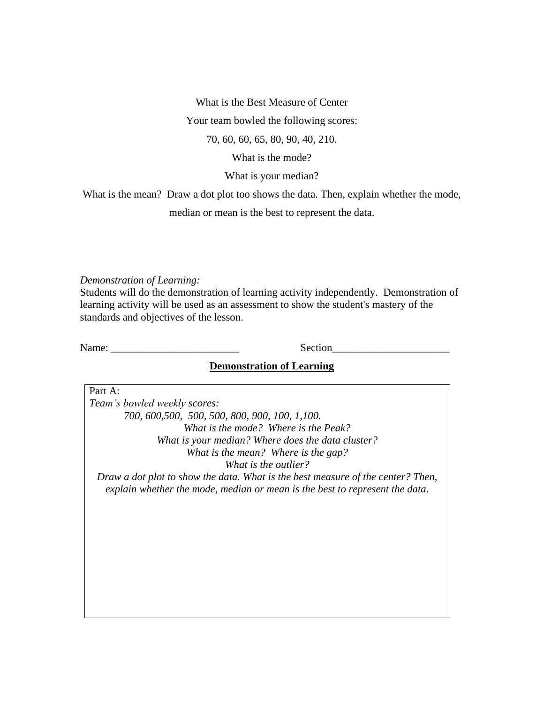What is the Best Measure of Center

Your team bowled the following scores:

70, 60, 60, 65, 80, 90, 40, 210.

What is the mode?

What is your median?

What is the mean? Draw a dot plot too shows the data. Then, explain whether the mode,

median or mean is the best to represent the data.

*Demonstration of Learning:*

Students will do the demonstration of learning activity independently. Demonstration of learning activity will be used as an assessment to show the student's mastery of the standards and objectives of the lesson.

Name: Section

#### **Demonstration of Learning**

Part A: *Team's bowled weekly scores: 700, 600,500, 500, 500, 800, 900, 100, 1,100. What is the mode? Where is the Peak? What is your median? Where does the data cluster? What is the mean? Where is the gap? What is the outlier? Draw a dot plot to show the data. What is the best measure of the center? Then, explain whether the mode, median or mean is the best to represent the data.*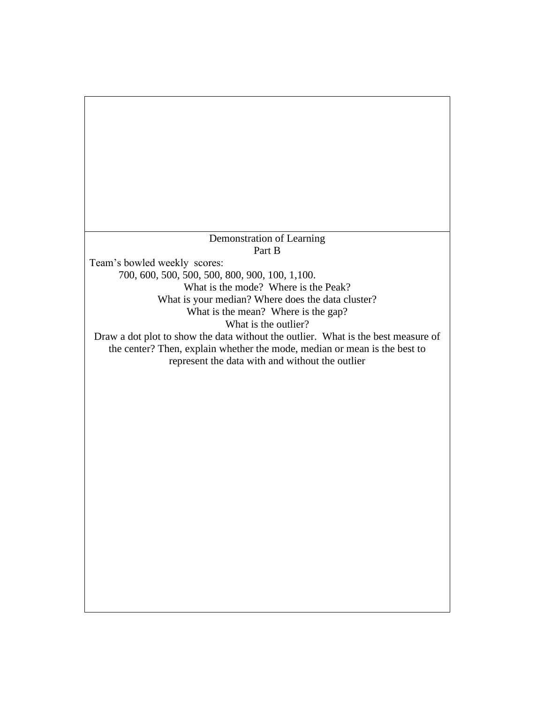## Demonstration of Learning Part B

Team's bowled weekly scores: 700, 600, 500, 500, 500, 800, 900, 100, 1,100. What is the mode? Where is the Peak? What is your median? Where does the data cluster? What is the mean? Where is the gap? What is the outlier? Draw a dot plot to show the data without the outlier. What is the best measure of the center? Then, explain whether the mode, median or mean is the best to represent the data with and without the outlier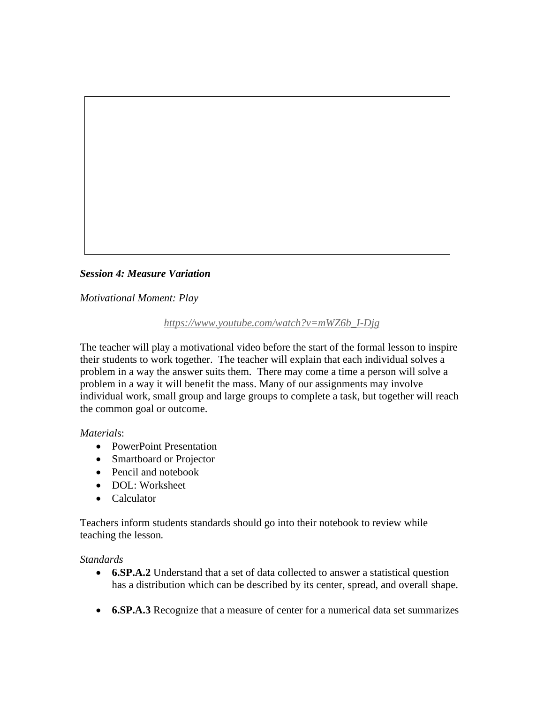

*Motivational Moment: Play*

## *[https://www.youtube.com/watch?v=mWZ6b\\_I-Djg](https://www.youtube.com/watch?v=mWZ6b_I-Djg)*

The teacher will play a motivational video before the start of the formal lesson to inspire their students to work together. The teacher will explain that each individual solves a problem in a way the answer suits them. There may come a time a person will solve a problem in a way it will benefit the mass. Many of our assignments may involve individual work, small group and large groups to complete a task, but together will reach the common goal or outcome.

*Material*s:

- PowerPoint Presentation
- Smartboard or Projector
- Pencil and notebook
- DOL: Worksheet
- Calculator

Teachers inform students standards should go into their notebook to review while teaching the lesson*.*

## *Standards*

- **6.SP.A.2** Understand that a set of data collected to answer a statistical question has a distribution which can be described by its center, spread, and overall shape.
- **6.SP.A.3** Recognize that a measure of center for a numerical data set summarizes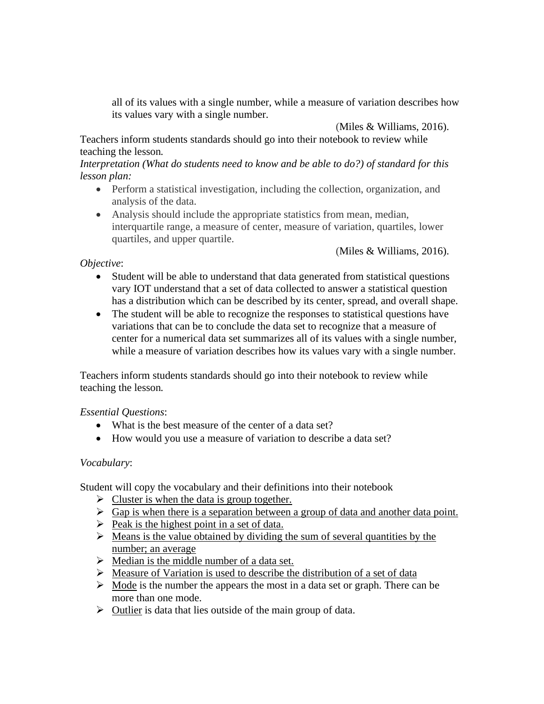all of its values with a single number, while a measure of variation describes how its values vary with a single number.

(Miles & Williams, 2016).

Teachers inform students standards should go into their notebook to review while teaching the lesson*.*

*Interpretation (What do students need to know and be able to do?) of standard for this lesson plan:*

- Perform a statistical investigation, including the collection, organization, and analysis of the data.
- Analysis should include the appropriate statistics from mean, median, interquartile range, a measure of center, measure of variation, quartiles, lower quartiles, and upper quartile.

(Miles & Williams, 2016).

## *Objective*:

- Student will be able to understand that data generated from statistical questions vary IOT understand that a set of data collected to answer a statistical question has a distribution which can be described by its center, spread, and overall shape.
- The student will be able to recognize the responses to statistical questions have variations that can be to conclude the data set to recognize that a measure of center for a numerical data set summarizes all of its values with a single number, while a measure of variation describes how its values vary with a single number.

Teachers inform students standards should go into their notebook to review while teaching the lesson*.*

## *Essential Questions*:

- What is the best measure of the center of a data set?
- How would you use a measure of variation to describe a data set?

## *Vocabulary*:

Student will copy the vocabulary and their definitions into their notebook

- $\triangleright$  Cluster is when the data is group together.
- $\triangleright$  Gap is when there is a separation between a group of data and another data point.
- $\triangleright$  Peak is the highest point in a set of data.
- $\triangleright$  Means is the value obtained by dividing the sum of several quantities by the number; an average
- $\triangleright$  Median is the middle number of a data set.
- ➢ Measure of Variation is used to describe the distribution of a set of data
- $\triangleright$  Mode is the number the appears the most in a data set or graph. There can be more than one mode.
- $\triangleright$  Outlier is data that lies outside of the main group of data.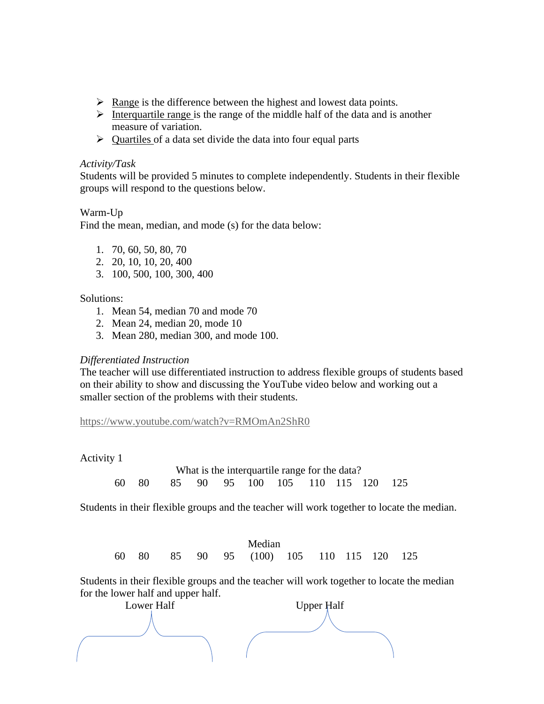- $\triangleright$  Range is the difference between the highest and lowest data points.
- $\triangleright$  Interquartile range is the range of the middle half of the data and is another measure of variation.
- $\triangleright$  Quartiles of a data set divide the data into four equal parts

#### *Activity/Task*

Students will be provided 5 minutes to complete independently. Students in their flexible groups will respond to the questions below.

## Warm-Up

Find the mean, median, and mode (s) for the data below:

- 1. 70, 60, 50, 80, 70
- 2. 20, 10, 10, 20, 400
- 3. 100, 500, 100, 300, 400

## Solutions:

- 1. Mean 54, median 70 and mode 70
- 2. Mean 24, median 20, mode 10
- 3. Mean 280, median 300, and mode 100.

## *Differentiated Instruction*

The teacher will use differentiated instruction to address flexible groups of students based on their ability to show and discussing the YouTube video below and working out a smaller section of the problems with their students.

<https://www.youtube.com/watch?v=RMOmAn2ShR0>

#### Activity 1

What is the interquartile range for the data? 60 80 85 90 95 100 105 110 115 120 125

Students in their flexible groups and the teacher will work together to locate the median.

 Median 60 80 85 90 95 (100) 105 110 115 120 125

Students in their flexible groups and the teacher will work together to locate the median for the lower half and upper half.

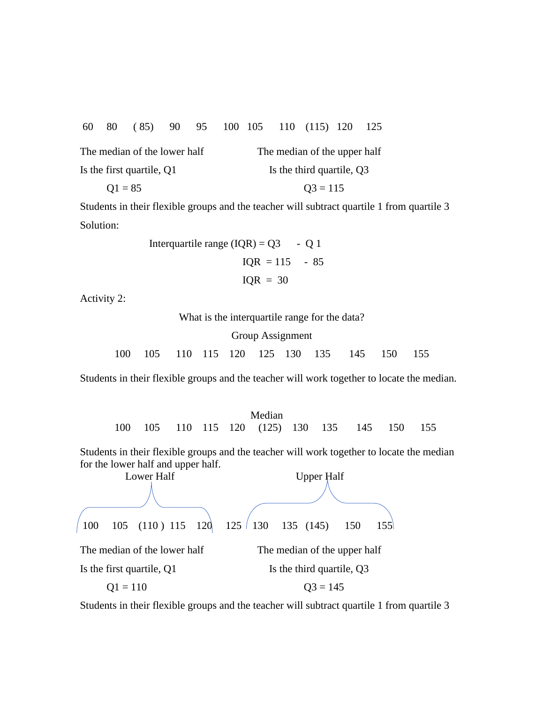60 80 ( 85) 90 95 100 105 110 (115) 120 125

| The median of the lower half | The median of the upper half |
|------------------------------|------------------------------|
| Is the first quartile, Q1    | Is the third quartile, Q3    |
| $Q1 = 85$                    | $Q3 = 115$                   |

Students in their flexible groups and the teacher will subtract quartile 1 from quartile 3 Solution:

> Interquartile range  $(IQR) = Q3 - Q1$  $IQR = 115 - 85$  $IQR = 30$

Activity 2:

|     |  |  |                  | What is the interguartile range for the data? |       |     |
|-----|--|--|------------------|-----------------------------------------------|-------|-----|
|     |  |  | Group Assignment |                                               |       |     |
| 100 |  |  |                  | 105 110 115 120 125 130 135 145               | - 150 | 155 |

Students in their flexible groups and the teacher will work together to locate the median.

|  |  |  | Median                                        |  |  |  |
|--|--|--|-----------------------------------------------|--|--|--|
|  |  |  | 100 105 110 115 120 (125) 130 135 145 150 155 |  |  |  |

Students in their flexible groups and the teacher will work together to locate the median for the lower half and upper half.



Students in their flexible groups and the teacher will subtract quartile 1 from quartile 3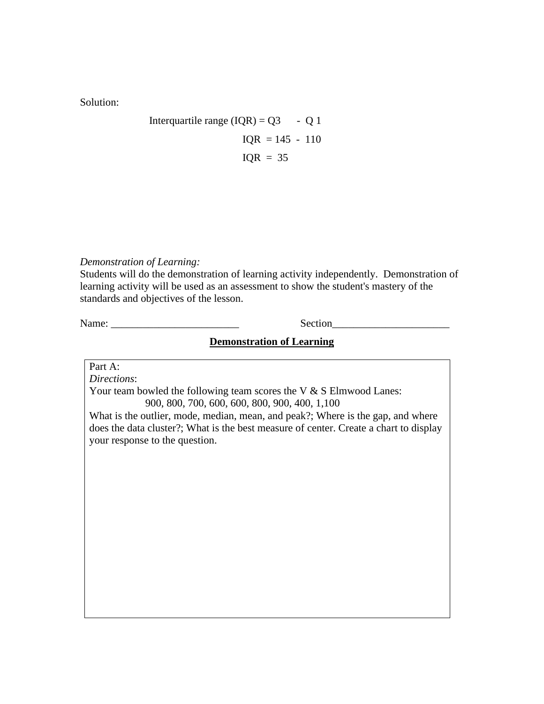Solution:

Integrating range 
$$
(IQR) = Q3 - Q1
$$
  
\n $IQR = 145 - 110$   
\n $IQR = 35$ 

*Demonstration of Learning:*

Students will do the demonstration of learning activity independently. Demonstration of learning activity will be used as an assessment to show the student's mastery of the standards and objectives of the lesson.

Name: Section

## **Demonstration of Learning**

Part A:

*Directions*: Your team bowled the following team scores the V & S Elmwood Lanes:

900, 800, 700, 600, 600, 800, 900, 400, 1,100

What is the outlier, mode, median, mean, and peak?; Where is the gap, and where does the data cluster?; What is the best measure of center. Create a chart to display your response to the question.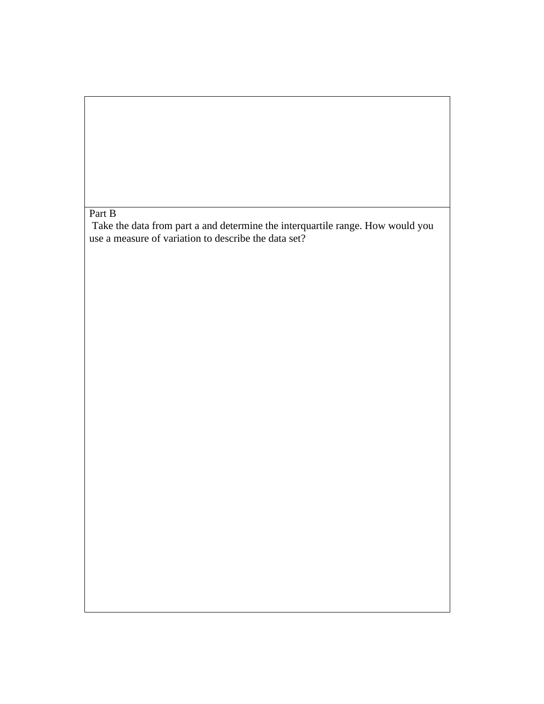# Part B

Take the data from part a and determine the interquartile range. How would you use a measure of variation to describe the data set?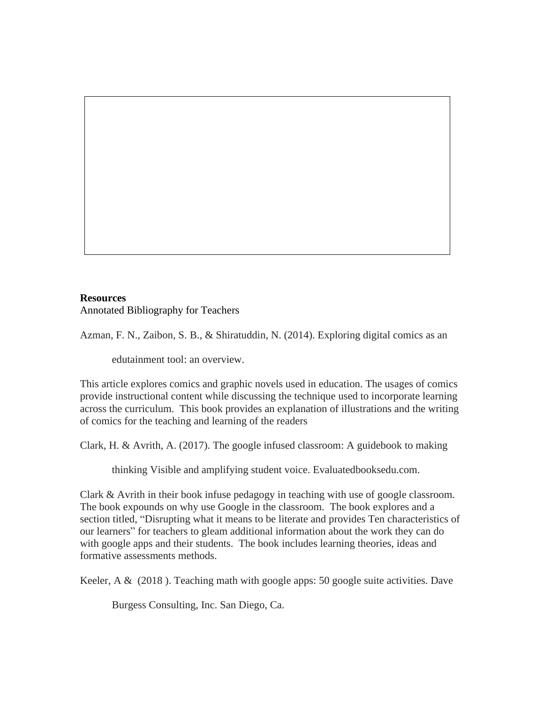## **Resources** Annotated Bibliography for Teachers

Azman, F. N., Zaibon, S. B., & Shiratuddin, N. (2014). Exploring digital comics as an

edutainment tool: an overview.

This article explores comics and graphic novels used in education. The usages of comics provide instructional content while discussing the technique used to incorporate learning across the curriculum. This book provides an explanation of illustrations and the writing of comics for the teaching and learning of the readers

Clark, H. & Avrith, A. (2017). The google infused classroom: A guidebook to making

thinking Visible and amplifying student voice. Evaluatedbooksedu.com.

Clark & Avrith in their book infuse pedagogy in teaching with use of google classroom. The book expounds on why use Google in the classroom. The book explores and a section titled, "Disrupting what it means to be literate and provides Ten characteristics of our learners" for teachers to gleam additional information about the work they can do with google apps and their students. The book includes learning theories, ideas and formative assessments methods.

Keeler, A & (2018 ). Teaching math with google apps: 50 google suite activities. Dave

Burgess Consulting, Inc. San Diego, Ca.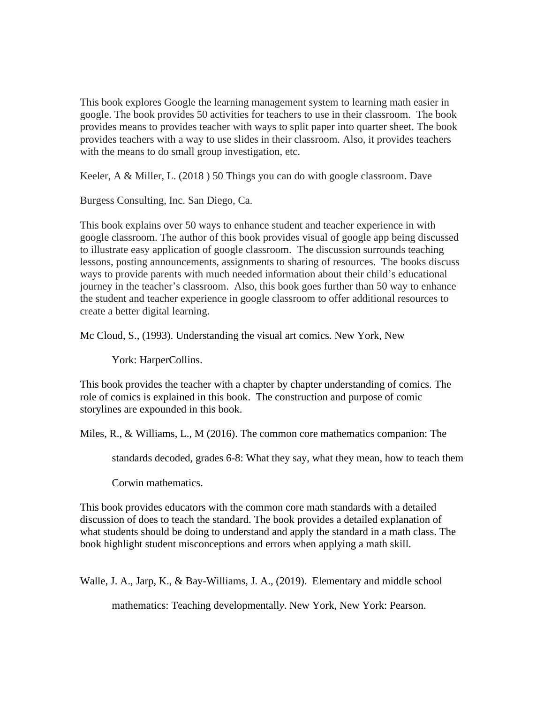This book explores Google the learning management system to learning math easier in google. The book provides 50 activities for teachers to use in their classroom. The book provides means to provides teacher with ways to split paper into quarter sheet. The book provides teachers with a way to use slides in their classroom. Also, it provides teachers with the means to do small group investigation, etc.

Keeler, A & Miller, L. (2018 ) 50 Things you can do with google classroom. Dave

Burgess Consulting, Inc. San Diego, Ca.

This book explains over 50 ways to enhance student and teacher experience in with google classroom. The author of this book provides visual of google app being discussed to illustrate easy application of google classroom. The discussion surrounds teaching lessons, posting announcements, assignments to sharing of resources. The books discuss ways to provide parents with much needed information about their child's educational journey in the teacher's classroom. Also, this book goes further than 50 way to enhance the student and teacher experience in google classroom to offer additional resources to create a better digital learning.

Mc Cloud, S., (1993). Understanding the visual art comics. New York, New

York: HarperCollins.

This book provides the teacher with a chapter by chapter understanding of comics. The role of comics is explained in this book. The construction and purpose of comic storylines are expounded in this book.

Miles, R., & Williams, L., M (2016). The common core mathematics companion: The

standards decoded, grades 6-8: What they say, what they mean, how to teach them

Corwin mathematics.

This book provides educators with the common core math standards with a detailed discussion of does to teach the standard. The book provides a detailed explanation of what students should be doing to understand and apply the standard in a math class. The book highlight student misconceptions and errors when applying a math skill.

Walle, J. A., Jarp, K., & Bay-Williams, J. A., (2019). Elementary and middle school

mathematics: Teaching developmentall*y*. New York, New York: Pearson.